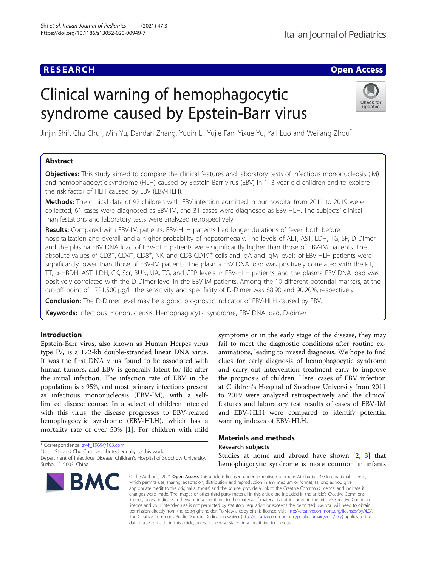# Clinical warning of hemophagocytic syndrome caused by Epstein-Barr virus



Jinjin Shi<sup>†</sup>, Chu Chu<sup>†</sup>, Min Yu, Dandan Zhang, Yuqin Li, Yujie Fan, Yixue Yu, Yali Luo and Weifang Zhou<sup>\*</sup>

# Abstract

Objectives: This study aimed to compare the clinical features and laboratory tests of infectious mononucleosis (IM) and hemophagocytic syndrome (HLH) caused by Epstein-Barr virus (EBV) in 1–3-year-old children and to explore the risk factor of HLH caused by EBV (EBV-HLH).

Methods: The clinical data of 92 children with EBV infection admitted in our hospital from 2011 to 2019 were collected; 61 cases were diagnosed as EBV-IM, and 31 cases were diagnosed as EBV-HLH. The subjects' clinical manifestations and laboratory tests were analyzed retrospectively.

Results: Compared with EBV-IM patients, EBV-HLH patients had longer durations of fever, both before hospitalization and overall, and a higher probability of hepatomegaly. The levels of ALT, AST, LDH, TG, SF, D-Dimer and the plasma EBV DNA load of EBV-HLH patients were significantly higher than those of EBV-IM patients. The absolute values of CD3<sup>+</sup>, CD4<sup>+</sup>, CD8<sup>+</sup>, NK, and CD3-CD19<sup>+</sup> cells and IgA and IgM levels of EBV-HLH patients were significantly lower than those of EBV-IM patients. The plasma EBV DNA load was positively correlated with the PT, TT, α-HBDH, AST, LDH, CK, Scr, BUN, UA, TG, and CRP levels in EBV-HLH patients, and the plasma EBV DNA load was positively correlated with the D-Dimer level in the EBV-IM patients. Among the 10 different potential markers, at the cut-off point of 1721.500 μg/L, the sensitivity and specificity of D-Dimer was 88.90 and 90.20%, respectively.

**Conclusion:** The D-Dimer level may be a good prognostic indicator of EBV-HLH caused by EBV.

Keywords: Infectious mononucleosis, Hemophagocytic syndrome, EBV DNA load, D-dimer

# Introduction

Epstein-Barr virus, also known as Human Herpes virus type IV, is a 172-kb double-stranded linear DNA virus. It was the first DNA virus found to be associated with human tumors, and EBV is generally latent for life after the initial infection. The infection rate of EBV in the population is > 95%, and most primary infections present as infectious mononucleosis (EBV-IM), with a selflimited disease course. In a subset of children infected with this virus, the disease progresses to EBV-related hemophagocytic syndrome (EBV-HLH), which has a mortality rate of over 50% [\[1\]](#page-6-0). For children with mild

\* Correspondence: [zwf\\_1969@163.com](mailto:zwf_1969@163.com) †

<sup>+</sup>Jinjin Shi and Chu Chu contributed equally to this work.

Department of Infectious Disease, Children's Hospital of Soochow University, Suzhou 215003, China



symptoms or in the early stage of the disease, they may fail to meet the diagnostic conditions after routine examinations, leading to missed diagnosis. We hope to find clues for early diagnosis of hemophagocytic syndrome and carry out intervention treatment early to improve the prognosis of children. Here, cases of EBV infection at Children's Hospital of Soochow University from 2011 to 2019 were analyzed retrospectively and the clinical features and laboratory test results of cases of EBV-IM and EBV-HLH were compared to identify potential warning indexes of EBV-HLH.

# Materials and methods

# Research subjects

Studies at home and abroad have shown [[2,](#page-6-0) [3\]](#page-6-0) that hemophagocytic syndrome is more common in infants

© The Author(s), 2021 **Open Access** This article is licensed under a Creative Commons Attribution 4.0 International License, which permits use, sharing, adaptation, distribution and reproduction in any medium or format, as long as you give appropriate credit to the original author(s) and the source, provide a link to the Creative Commons licence, and indicate if changes were made. The images or other third party material in this article are included in the article's Creative Commons licence, unless indicated otherwise in a credit line to the material. If material is not included in the article's Creative Commons licence and your intended use is not permitted by statutory regulation or exceeds the permitted use, you will need to obtain permission directly from the copyright holder. To view a copy of this licence, visit [http://creativecommons.org/licenses/by/4.0/.](http://creativecommons.org/licenses/by/4.0/) The Creative Commons Public Domain Dedication waiver [\(http://creativecommons.org/publicdomain/zero/1.0/](http://creativecommons.org/publicdomain/zero/1.0/)) applies to the data made available in this article, unless otherwise stated in a credit line to the data.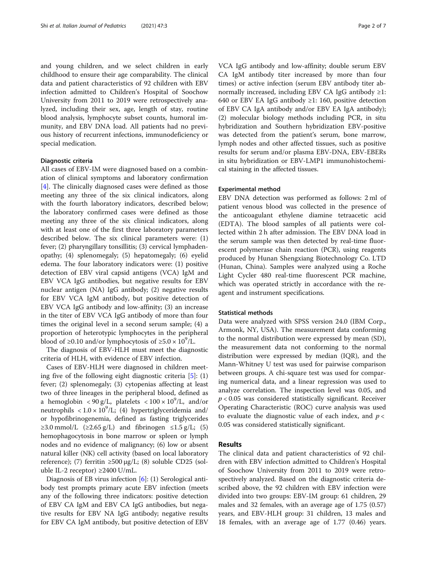and young children, and we select children in early childhood to ensure their age comparability. The clinical data and patient characteristics of 92 children with EBV infection admitted to Children's Hospital of Soochow University from 2011 to 2019 were retrospectively analyzed, including their sex, age, length of stay, routine blood analysis, lymphocyte subset counts, humoral immunity, and EBV DNA load. All patients had no previous history of recurrent infections, immunodeficiency or special medication.

#### Diagnostic criteria

All cases of EBV-IM were diagnosed based on a combination of clinical symptoms and laboratory confirmation [[4\]](#page-6-0). The clinically diagnosed cases were defined as those meeting any three of the six clinical indicators, along with the fourth laboratory indicators, described below; the laboratory confirmed cases were defined as those meeting any three of the six clinical indicators, along with at least one of the first three laboratory parameters described below. The six clinical parameters were: (1) fever; (2) pharyngillary tonsillitis; (3) cervical lymphadenopathy; (4) splenomegaly; (5) hepatomegaly; (6) eyelid edema. The four laboratory indicators were: (1) positive detection of EBV viral capsid antigens (VCA) IgM and EBV VCA IgG antibodies, but negative results for EBV nuclear antigen (NA) IgG antibody; (2) negative results for EBV VCA IgM antibody, but positive detection of EBV VCA IgG antibody and low-affinity; (3) an increase in the titer of EBV VCA IgG antibody of more than four times the original level in a second serum sample; (4) a proportion of heterotypic lymphocytes in the peripheral blood of ≥0.10 and/or lymphocytosis of  $\geq 5.0 \times 10^9$ /L.

The diagnosis of EBV-HLH must meet the diagnostic criteria of HLH, with evidence of EBV infection.

Cases of EBV-HLH were diagnosed in children meeting five of the following eight diagnostic criteria  $[5]$  $[5]$ : (1) fever; (2) splenomegaly; (3) cytopenias affecting at least two of three lineages in the peripheral blood, defined as a hemoglobin <  $90 \text{ g/L}$ , platelets <  $100 \times 10^9$ /L, and/or neutrophils <  $1.0 \times 10^9$ /L; (4) hypertriglyceridemia and/ or hypofibrinogenemia, defined as fasting triglycerides ≥3.0 mmol/L (≥2.65 g/L) and fibrinogen  $\leq$ 1.5 g/L; (5) hemophagocytosis in bone marrow or spleen or lymph nodes and no evidence of malignancy; (6) low or absent natural killer (NK) cell activity (based on local laboratory reference); (7) ferritin  $\geq 500 \mu g/L$ ; (8) soluble CD25 (soluble IL-2 receptor) ≥2400 U/mL.

Diagnosis of EB virus infection [[6\]](#page-6-0): (1) Serological antibody test prompts primary acute EBV infection (meets any of the following three indicators: positive detection of EBV CA IgM and EBV CA IgG antibodies, but negative results for EBV NA IgG antibody; negative results for EBV CA IgM antibody, but positive detection of EBV

VCA IgG antibody and low-affinity; double serum EBV CA IgM antibody titer increased by more than four times) or active infection (serum EBV antibody titer abnormally increased, including EBV CA IgG antibody  $\geq 1$ : 640 or EBV EA IgG antibody ≥1: 160, positive detection of EBV CA IgA antibody and/or EBV EA IgA antibody); (2) molecular biology methods including PCR, in situ hybridization and Southern hybridization EBV-positive was detected from the patient's serum, bone marrow, lymph nodes and other affected tissues, such as positive results for serum and/or plasma EBV-DNA, EBV-EBERs in situ hybridization or EBV-LMP1 immunohistochemical staining in the affected tissues.

#### Experimental method

EBV DNA detection was performed as follows: 2 ml of patient venous blood was collected in the presence of the anticoagulant ethylene diamine tetraacetic acid (EDTA). The blood samples of all patients were collected within 2 h after admission. The EBV DNA load in the serum sample was then detected by real-time fluorescent polymerase chain reaction (PCR), using reagents produced by Hunan Shengxiang Biotechnology Co. LTD (Hunan, China). Samples were analyzed using a Roche Light Cycler 480 real-time fluorescent PCR machine, which was operated strictly in accordance with the reagent and instrument specifications.

#### Statistical methods

Data were analyzed with SPSS version 24.0 (IBM Corp., Armonk, NY, USA). The measurement data conforming to the normal distribution were expressed by mean (SD), the measurement data not conforming to the normal distribution were expressed by median (IQR), and the Mann-Whitney U test was used for pairwise comparison between groups. A chi-square test was used for comparing numerical data, and a linear regression was used to analyze correlation. The inspection level was 0.05, and  $p < 0.05$  was considered statistically significant. Receiver Operating Characteristic (ROC) curve analysis was used to evaluate the diagnostic value of each index, and  $p <$ 0.05 was considered statistically significant.

# Results

The clinical data and patient characteristics of 92 children with EBV infection admitted to Children's Hospital of Soochow University from 2011 to 2019 were retrospectively analyzed. Based on the diagnostic criteria described above, the 92 children with EBV infection were divided into two groups: EBV-IM group: 61 children, 29 males and 32 females, with an average age of 1.75 (0.57) years, and EBV-HLH group: 31 children, 13 males and 18 females, with an average age of 1.77 (0.46) years.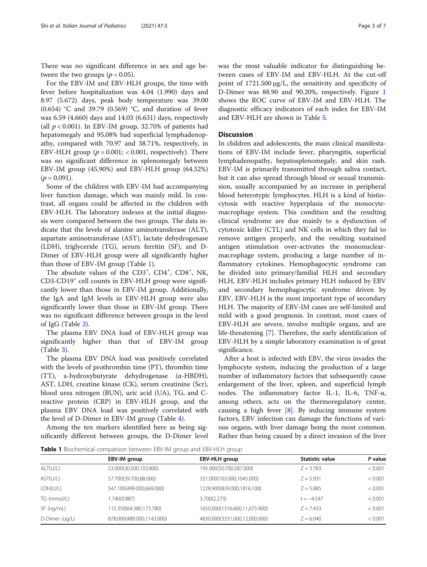There was no significant difference in sex and age between the two groups ( $p < 0.05$ ).

For the EBV-IM and EBV-HLH groups, the time with fever before hospitalization was 4.04 (1.990) days and 8.97 (5.672) days, peak body temperature was 39.00 (0.654) °C and 39.79 (0.569) °C, and duration of fever was 6.59 (4.660) days and 14.03 (6.631) days, respectively (all  $p < 0.001$ ). In EBV-IM group, 32.70% of patients had hepatomegaly and 95.08% had superficial lymphadenopathy, compared with 70.97 and 38.71%, respectively, in EBV-HLH group  $(p = 0.001; < 0.001$ , respectively). There was no significant difference in splenomegaly between EBV-IM group (45.90%) and EBV-HLH group (64.52%)  $(p = 0.091)$ .

Some of the children with EBV-IM had accompanying liver function damage, which was mainly mild. In contrast, all organs could be affected in the children with EBV-HLH. The laboratory indexes at the initial diagnosis were compared between the two groups. The data indicate that the levels of alanine aminotransferase (ALT), aspartate aminotransferase (AST), lactate dehydrogenase (LDH), triglyceride (TG), serum ferritin (SF), and D-Dimer of EBV-HLH group were all significantly higher than those of EBV-IM group (Table 1).

The absolute values of the CD3<sup>+</sup>, CD4<sup>+</sup>, CD8<sup>+</sup>, NK, CD3-CD19<sup>+</sup> cell counts in EBV-HLH group were significantly lower than those in EBV-IM group. Additionally, the IgA and IgM levels in EBV-HLH group were also significantly lower than those in EBV-IM group. There was no significant difference between groups in the level of IgG (Table [2\)](#page-3-0).

The plasma EBV DNA load of EBV-HLH group was significantly higher than that of EBV-IM group (Table [3\)](#page-3-0).

The plasma EBV DNA load was positively correlated with the levels of prothrombin time (PT), thrombin time (TT), a-hydroxybutyrate dehydrogenase (α-HBDH), AST, LDH, creatine kinase (CK), serum creatinine (Scr), blood urea nitrogen (BUN), uric acid (UA), TG, and Creactive protein (CRP) in EBV-HLH group, and the plasma EBV DNA load was positively correlated with the level of D-Dimer in EBV-IM group (Table [4](#page-4-0)).

Among the ten markers identified here as being significantly different between groups, the D-Dimer level

was the most valuable indicator for distinguishing between cases of EBV-IM and EBV-HLH. At the cut-off point of 1721.500 μg/L, the sensitivity and specificity of D-Dimer was 88.90 and 90.20%, respectively. Figure [1](#page-4-0) shows the ROC curve of EBV-IM and EBV-HLH. The diagnostic efficacy indicators of each index for EBV-IM and EBV-HLH are shown in Table [5.](#page-5-0)

# **Discussion**

In children and adolescents, the main clinical manifestations of EBV-IM include fever, pharyngitis, superficial lymphadenopathy, hepatosplenomegaly, and skin rash. EBV-IM is primarily transmitted through saliva contact, but it can also spread through blood or sexual transmission, usually accompanied by an increase in peripheral blood heterotypic lymphocytes. HLH is a kind of histiocytosis with reactive hyperplasia of the monocytemacrophage system. This condition and the resulting clinical syndrome are due mainly to a dysfunction of cytotoxic killer (CTL) and NK cells in which they fail to remove antigen properly, and the resulting sustained antigen stimulation over-activates the mononuclearmacrophage system, producing a large number of inflammatory cytokines. Hemophagocytic syndrome can be divided into primary/familial HLH and secondary HLH, EBV-HLH includes primary HLH induced by EBV and secondary hemophagocytic syndrome driven by EBV, EBV-HLH is the most important type of secondary HLH. The majority of EBV-IM cases are self-limited and mild with a good prognosis. In contrast, most cases of EBV-HLH are severe, involve multiple organs, and are life-threatening [[7\]](#page-6-0). Therefore, the early identification of EBV-HLH by a simple laboratory examination is of great significance.

After a host is infected with EBV, the virus invades the lymphocyte system, inducing the production of a large number of inflammatory factors that subsequently cause enlargement of the liver, spleen, and superficial lymph nodes. The inflammatory factor IL-1, IL-6, TNF-α, among others, acts on the thermoregulatory center, causing a high fever  $[8]$  $[8]$ . By inducing immune system factors, EBV infection can damage the functions of various organs, with liver damage being the most common. Rather than being caused by a direct invasion of the liver

Table 1 Biochemical comparison between EBV-IM group and EBV-HLH group

|                | EBV-IM group              | EBV-HLH group                 | <b>Statistic value</b> | P value |  |  |
|----------------|---------------------------|-------------------------------|------------------------|---------|--|--|
| ALT(U/L)       | 53.000(30.500,103.800)    | 195.900(50.700,587.000)       | $Z = 3.783$            | < 0.001 |  |  |
| AST(U/L)       | 57.700(39.700,88.000)     | 331.000(103.000,1045.000)     | $Z = 5.931$            | < 0.001 |  |  |
| LDH(U/L)       | 547.100(499.000,669.000)  | 1228.900(839.000,1816.100)    | $Z = 5.885$            | < 0.001 |  |  |
| TG (mmol/L)    | 1.740(0.887)              | 3.700(2.273)                  | t = –4.547             | < 0.001 |  |  |
| $SF$ (ng/mL)   | 115.350(64.380,173.780)   | 1650.000(1316.600,11,675.900) | $Z = 7.433$            | < 0.001 |  |  |
| D-Dimer (ug/L) | 878.000(489.000,1143.000) | 4830.000(3331.000,12,000.000) | $Z = 6.040$            | < 0.001 |  |  |
|                |                           |                               |                        |         |  |  |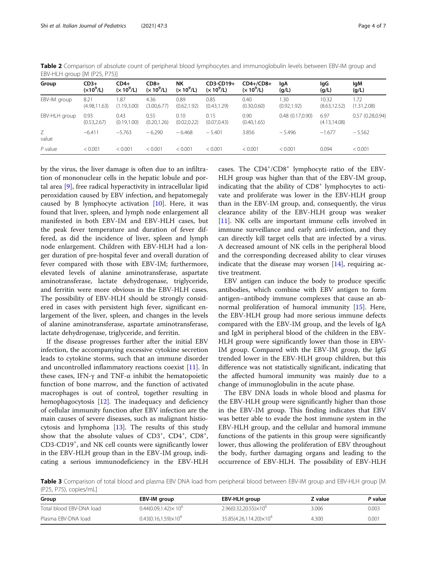| Group         | $CD3+$<br>$(x10^9/L)$ | $CD4+$<br>$(x 10^9/L)$ | $CD8+$<br>$(x 10^9/L)$ | NΚ<br>$(x 10^9/L)$   | CD3-CD19+<br>$(x 10^9/L)$ | $CD4+/CD8+$<br>$(x 10^9/L)$ | lgA<br>(g/L)        | lgG<br>(g/L)           | lgM<br>(g/L)         |
|---------------|-----------------------|------------------------|------------------------|----------------------|---------------------------|-----------------------------|---------------------|------------------------|----------------------|
| EBV-IM group  | 8.21<br>(4.98, 11.63) | 1.87<br>(1.19, 3.00)   | 4.36<br>(3.00, 6.77)   | 0.89<br>(0.62, 1.92) | 0.85<br>(0.43, 1.29)      | 0.40<br>(0.30, 0.60)        | .30<br>(0.92, 1.92) | 10.32<br>(8.63, 12.52) | 1.72<br>(1.31, 2.08) |
| EBV-HLH group | 0.93<br>(0.53, 2.67)  | 0.43<br>(0.19, 1.00)   | 0.55<br>(0.20, 1.26)   | 0.10<br>(0.02, 0.22) | 0.15<br>(0.07, 0.43)      | 0.90<br>(0.40, 1.65)        | 0.48(0.17,0.90)     | 6.97<br>(4.13, 14.08)  | 0.57(0.28, 0.94)     |
| Ζ<br>value    | $-6.411$              | $-5.763$               | $-6.290$               | $-6.468$             | $-5.401$                  | 3.856                       | $-5.496$            | $-1.677$               | $-5.562$             |
| $P$ value     | < 0.001               | < 0.001                | < 0.001                | < 0.001              | < 0.001                   | < 0.001                     | < 0.001             | 0.094                  | < 0.001              |

<span id="page-3-0"></span>Table 2 Comparison of absolute count of peripheral blood lymphocytes and immunoglobulin levels between EBV-IM group and EBV-HLH group [M (P25, P75)]

by the virus, the liver damage is often due to an infiltration of mononuclear cells in the hepatic lobule and portal area [[9\]](#page-6-0), free radical hyperactivity in intracellular lipid peroxidation caused by EBV infection, and hepatomegaly caused by B lymphocyte activation [\[10](#page-6-0)]. Here, it was found that liver, spleen, and lymph node enlargement all manifested in both EBV-IM and EBV-HLH cases, but the peak fever temperature and duration of fever differed, as did the incidence of liver, spleen and lymph node enlargement. Children with EBV-HLH had a longer duration of pre-hospital fever and overall duration of fever compared with those with EBV-IM; furthermore, elevated levels of alanine aminotransferase, aspartate aminotransferase, lactate dehydrogenase, triglyceride, and ferritin were more obvious in the EBV-HLH cases. The possibility of EBV-HLH should be strongly considered in cases with persistent high fever, significant enlargement of the liver, spleen, and changes in the levels of alanine aminotransferase, aspartate aminotransferase, lactate dehydrogenase, triglyceride, and ferritin.

If the disease progresses further after the initial EBV infection, the accompanying excessive cytokine secretion leads to cytokine storms, such that an immune disorder and uncontrolled inflammatory reactions coexist [[11](#page-6-0)]. In these cases, IFN-γ and TNF- $α$  inhibit the hematopoietic function of bone marrow, and the function of activated macrophages is out of control, together resulting in hemophagocytosis [\[12](#page-6-0)]. The inadequacy and deficiency of cellular immunity function after EBV infection are the main causes of severe diseases, such as malignant histiocytosis and lymphoma [\[13](#page-6-0)]. The results of this study show that the absolute values of  $CD3^+$ ,  $CD4^+$ ,  $CD8^+$ , CD3-CD19<sup>+</sup> , and NK cell counts were significantly lower in the EBV-HLH group than in the EBV-IM group, indicating a serious immunodeficiency in the EBV-HLH

cases. The CD4+/CD8+ lymphocyte ratio of the EBV-HLH group was higher than that of the EBV-IM group, indicating that the ability of  $CD8<sup>+</sup>$  lymphocytes to activate and proliferate was lower in the EBV-HLH group than in the EBV-IM group, and, consequently, the virus clearance ability of the EBV-HLH group was weaker [[11\]](#page-6-0). NK cells are important immune cells involved in immune surveillance and early anti-infection, and they can directly kill target cells that are infected by a virus. A decreased amount of NK cells in the peripheral blood and the corresponding decreased ability to clear viruses indicate that the disease may worsen  $[14]$ , requiring active treatment.

EBV antigen can induce the body to produce specific antibodies, which combine with EBV antigen to form antigen–antibody immune complexes that cause an abnormal proliferation of humoral immunity [\[15\]](#page-6-0). Here, the EBV-HLH group had more serious immune defects compared with the EBV-IM group, and the levels of IgA and IgM in peripheral blood of the children in the EBV-HLH group were significantly lower than those in EBV-IM group. Compared with the EBV-IM group, the IgG trended lower in the EBV-HLH group children, but this difference was not statistically significant, indicating that the affected humoral immunity was mainly due to a change of immunoglobulin in the acute phase.

The EBV DNA loads in whole blood and plasma for the EBV-HLH group were significantly higher than those in the EBV-IM group. This finding indicates that EBV was better able to evade the host immune system in the EBV-HLH group, and the cellular and humoral immune functions of the patients in this group were significantly lower, thus allowing the proliferation of EBV throughout the body, further damaging organs and leading to the occurrence of EBV-HLH. The possibility of EBV-HLH

Table 3 Comparison of total blood and plasma EBV DNA load from peripheral blood between EBV-IM group and EBV-HLH group [M (P25, P75), copies/mL]

| Group                    | EBV-IM group                     | EBV-HLH group                      | Z value | P value |
|--------------------------|----------------------------------|------------------------------------|---------|---------|
| Total blood EBV-DNA load | $0.44(0.09, 1.42) \times 10^{6}$ | $2.96(0.32.20.55)\times10^{6}$     | 3.006   | 0.003   |
| Plasma EBV-DNA load      | $0.43(0.16, 1.59)\times10^{4}$   | 35.85(4.26,114.20)×10 <sup>4</sup> | 4.300   | 0.001   |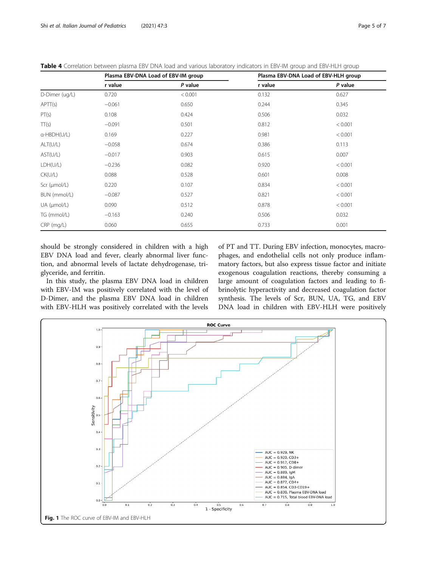<span id="page-4-0"></span>

| Table 4 Correlation between plasma EBV DNA load and various laboratory indicators in EBV-IM group and EBV-HLH group |  |  |  |
|---------------------------------------------------------------------------------------------------------------------|--|--|--|
|                                                                                                                     |  |  |  |

|                | Plasma EBV-DNA Load of EBV-IM group |         |         | Plasma EBV-DNA Load of EBV-HLH group |
|----------------|-------------------------------------|---------|---------|--------------------------------------|
|                | r value                             | P value | r value | P value                              |
| D-Dimer (ug/L) | 0.720                               | < 0.001 | 0.132   | 0.627                                |
| APT(s)         | $-0.061$                            | 0.650   | 0.244   | 0.345                                |
| PT(s)          | 0.108                               | 0.424   | 0.506   | 0.032                                |
| TT(s)          | $-0.091$                            | 0.501   | 0.812   | < 0.001                              |
| a-HBDH(U/L)    | 0.169                               | 0.227   | 0.981   | < 0.001                              |
| ALT(U/L)       | $-0.058$                            | 0.674   | 0.386   | 0.113                                |
| AST(U/L)       | $-0.017$                            | 0.903   | 0.615   | 0.007                                |
| LDH(U/L)       | $-0.236$                            | 0.082   | 0.920   | < 0.001                              |
| CK(U/L)        | 0.088                               | 0.528   | 0.601   | 0.008                                |
| Scr (µmol/L)   | 0.220                               | 0.107   | 0.834   | < 0.001                              |
| BUN (mmol/L)   | $-0.087$                            | 0.527   | 0.821   | < 0.001                              |
| UA (µmol/L)    | 0.090                               | 0.512   | 0.878   | < 0.001                              |
| TG (mmol/L)    | $-0.163$                            | 0.240   | 0.506   | 0.032                                |
| $CRP$ (mg/L)   | 0.060                               | 0.655   | 0.733   | 0.001                                |

should be strongly considered in children with a high EBV DNA load and fever, clearly abnormal liver function, and abnormal levels of lactate dehydrogenase, triglyceride, and ferritin.

In this study, the plasma EBV DNA load in children with EBV-IM was positively correlated with the level of D-Dimer, and the plasma EBV DNA load in children with EBV-HLH was positively correlated with the levels of PT and TT. During EBV infection, monocytes, macrophages, and endothelial cells not only produce inflammatory factors, but also express tissue factor and initiate exogenous coagulation reactions, thereby consuming a large amount of coagulation factors and leading to fibrinolytic hyperactivity and decreased coagulation factor synthesis. The levels of Scr, BUN, UA, TG, and EBV DNA load in children with EBV-HLH were positively

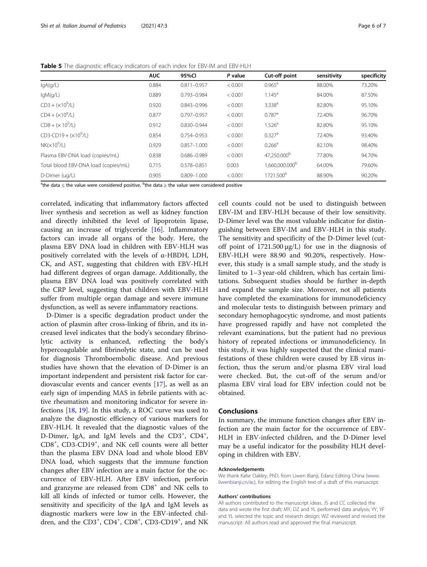<span id="page-5-0"></span>

|                                              | <b>AUC</b> | 95%CI           | P value | Cut-off point              | sensitivity | specificity |
|----------------------------------------------|------------|-----------------|---------|----------------------------|-------------|-------------|
| lgA(q/L)                                     | 0.884      | $0.811 - 0.957$ | < 0.001 | $0.965^{\text{a}}$         | 88.00%      | 73.20%      |
| lgM(g/L)                                     | 0.889      | 0.793-0.984     | < 0.001 | $1.145^a$                  | 84.00%      | 87.50%      |
| $CD3 + (x109/L)$                             | 0.920      | $0.843 - 0.996$ | < 0.001 | 3.338 <sup>a</sup>         | 82.80%      | 95.10%      |
| $CD4 + (x109/L)$                             | 0.877      | $0.797 - 0.957$ | < 0.001 | $0.787$ <sup>a</sup>       | 72.40%      | 96.70%      |
| $CDS + (x 10^9/L)$                           | 0.912      | $0.830 - 0.944$ | < 0.001 | 1.526 <sup>a</sup>         | 82.80%      | 95.10%      |
| $CD3$ -CD19 + ( $\times$ 10 <sup>9</sup> /L) | 0.854      | 0.754-0.953     | < 0.001 | $0.327$ <sup>a</sup>       | 72.40%      | 93.40%      |
| $NK(x10^9/L)$                                | 0.929      | $0.857 - 1.000$ | < 0.001 | $0.266^a$                  | 82.10%      | 98.40%      |
| Plasma EBV-DNA load (copies/mL)              | 0.838      | 0.686-0.989     | < 0.001 | 47,250.000 <sup>b</sup>    | 77.80%      | 94.70%      |
| Total blood EBV-DNA load (copies/mL)         | 0.715      | 0.578-0.851     | 0.003   | 1.660.000.000 <sup>b</sup> | 64.00%      | 79.60%      |
| D-Dimer (ug/L)                               | 0.905      | $0.809 - 1.000$ | < 0.001 | 1721.500 <sup>b</sup>      | 88.90%      | 90.20%      |

 $^{\text{a}}$ the data  $\leq$  the value were considered positive,  $^{\text{b}}$ the data  $\geq$  the value were considered positive

correlated, indicating that inflammatory factors affected liver synthesis and secretion as well as kidney function and directly inhibited the level of lipoprotein lipase, causing an increase of triglyceride [\[16](#page-6-0)]. Inflammatory factors can invade all organs of the body. Here, the plasma EBV DNA load in children with EBV-HLH was positively correlated with the levels of α-HBDH, LDH, CK, and AST, suggesting that children with EBV-HLH had different degrees of organ damage. Additionally, the plasma EBV DNA load was positively correlated with the CRP level, suggesting that children with EBV-HLH suffer from multiple organ damage and severe immune dysfunction, as well as severe inflammatory reactions.

D-Dimer is a specific degradation product under the action of plasmin after cross-linking of fibrin, and its increased level indicates that the body's secondary fibrinolytic activity is enhanced, reflecting the body's hypercoagulable and fibrinolytic state, and can be used for diagnosis Thromboembolic disease. And previous studies have shown that the elevation of D-Dimer is an important independent and persistent risk factor for cardiovascular events and cancer events [[17\]](#page-6-0), as well as an early sign of impending MAS in febrile patients with active rheumatism and monitoring indicator for severe infections [[18,](#page-6-0) [19\]](#page-6-0). In this study, a ROC curve was used to analyze the diagnostic efficiency of various markers for EBV-HLH. It revealed that the diagnostic values of the D-Dimer, IgA, and IgM levels and the CD3<sup>+</sup>, CD4<sup>+</sup>, CD8<sup>+</sup> , CD3-CD19<sup>+</sup> , and NK cell counts were all better than the plasma EBV DNA load and whole blood EBV DNA load, which suggests that the immune function changes after EBV infection are a main factor for the occurrence of EBV-HLH. After EBV infection, perforin and granzyme are released from CD8<sup>+</sup> and NK cells to kill all kinds of infected or tumor cells. However, the sensitivity and specificity of the IgA and IgM levels as diagnostic markers were low in the EBV-infected children, and the CD3<sup>+</sup>, CD4<sup>+</sup>, CD8<sup>+</sup>, CD3-CD19<sup>+</sup>, and NK

cell counts could not be used to distinguish between EBV-IM and EBV-HLH because of their low sensitivity. D-Dimer level was the most valuable indicator for distinguishing between EBV-IM and EBV-HLH in this study. The sensitivity and specificity of the D-Dimer level (cutoff point of  $1721.500 \mu g/L$ ) for use in the diagnosis of EBV-HLH were 88.90 and 90.20%, respectively. However, this study is a small sample study, and the study is limited to 1–3 year-old children, which has certain limitations. Subsequent studies should be further in-depth and expand the sample size. Moreover, not all patients have completed the examinations for immunodeficiency and molecular tests to distinguish between primary and secondary hemophagocytic syndrome, and most patients have progressed rapidly and have not completed the relevant examinations, but the patient had no previous history of repeated infections or immunodeficiency. In this study, it was highly suspected that the clinical manifestations of these children were caused by EB virus infection, thus the serum and/or plasma EBV viral load were checked. But, the cut-off of the serum and/or plasma EBV viral load for EBV infection could not be obtained.

#### Conclusions

In summary, the immune function changes after EBV infection are the main factor for the occurrence of EBV-HLH in EBV-infected children, and the D-Dimer level may be a useful indicator for the possibility HLH developing in children with EBV.

#### Acknowledgements

We thank Katie Oakley, PhD, from Liwen Bianji, Edanz Editing China [\(www.](http://www.liwenbianji.cn/ac) [liwenbianji.cn/ac\)](http://www.liwenbianji.cn/ac), for editing the English text of a draft of this manuscript.

#### Authors' contributions

All authors contributed to the manuscript ideas. JS and CC collected the data and wrote the first draft; MY, DZ and YL performed data analysis; YY, YF and YL selected the topic and research design; WZ reviewed and revised the manuscript. All authors read and approved the final manuscript.